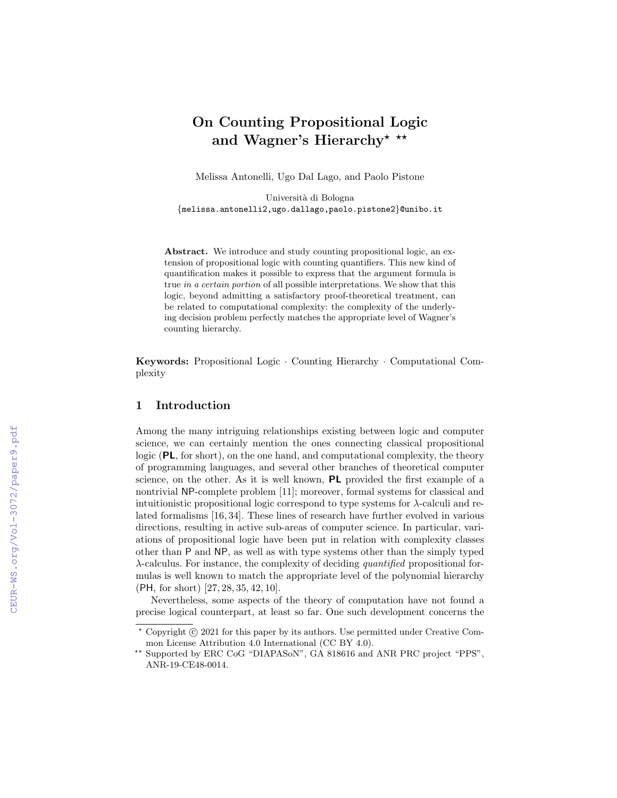# On Counting Propositional Logic and Wagner's Hierarchy\* \*\*

Melissa Antonelli, Ugo Dal Lago, and Paolo Pistone

Universit`a di Bologna {melissa.antonelli2,ugo.dallago,paolo.pistone2}@unibo.it

Abstract. We introduce and study counting propositional logic, an extension of propositional logic with counting quantifiers. This new kind of quantification makes it possible to express that the argument formula is true in a certain portion of all possible interpretations. We show that this logic, beyond admitting a satisfactory proof-theoretical treatment, can be related to computational complexity: the complexity of the underlying decision problem perfectly matches the appropriate level of Wagner's counting hierarchy.

Keywords: Propositional Logic · Counting Hierarchy · Computational Complexity

## 1 Introduction

Among the many intriguing relationships existing between logic and computer science, we can certainly mention the ones connecting classical propositional logic  $(PL, for short)$ , on the one hand, and computational complexity, the theory of programming languages, and several other branches of theoretical computer science, on the other. As it is well known, PL provided the first example of a nontrivial NP-complete problem [11]; moreover, formal systems for classical and intuitionistic propositional logic correspond to type systems for  $\lambda$ -calculi and related formalisms [16, 34]. These lines of research have further evolved in various directions, resulting in active sub-areas of computer science. In particular, variations of propositional logic have been put in relation with complexity classes other than P and NP, as well as with type systems other than the simply typed  $\lambda$ -calculus. For instance, the complexity of deciding *quantified* propositional formulas is well known to match the appropriate level of the polynomial hierarchy (PH, for short) [27, 28, 35, 42, 10].

Nevertheless, some aspects of the theory of computation have not found a precise logical counterpart, at least so far. One such development concerns the

 $*$  Copyright  $\odot$  2021 for this paper by its authors. Use permitted under Creative Common License Attribution 4.0 International (CC BY 4.0).

<sup>\*\*</sup> Supported by ERC CoG "DIAPASoN", GA 818616 and ANR PRC project "PPS", ANR-19-CE48-0014.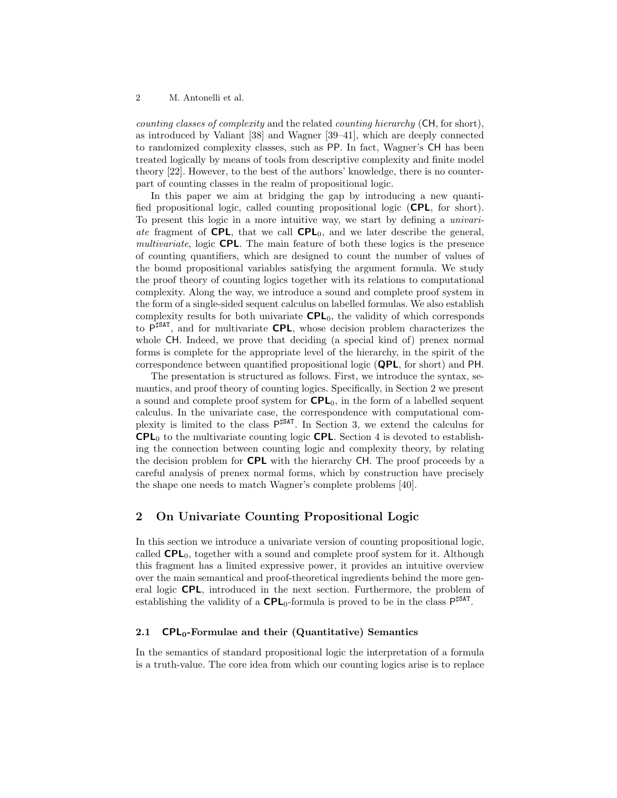counting classes of complexity and the related counting hierarchy (CH, for short), as introduced by Valiant [38] and Wagner [39–41], which are deeply connected to randomized complexity classes, such as PP. In fact, Wagner's CH has been treated logically by means of tools from descriptive complexity and finite model theory [22]. However, to the best of the authors' knowledge, there is no counterpart of counting classes in the realm of propositional logic.

In this paper we aim at bridging the gap by introducing a new quantified propositional logic, called counting propositional logic (CPL, for short). To present this logic in a more intuitive way, we start by defining a univariate fragment of CPL, that we call  $CPL_0$ , and we later describe the general, multivariate, logic **CPL**. The main feature of both these logics is the presence of counting quantifiers, which are designed to count the number of values of the bound propositional variables satisfying the argument formula. We study the proof theory of counting logics together with its relations to computational complexity. Along the way, we introduce a sound and complete proof system in the form of a single-sided sequent calculus on labelled formulas. We also establish complexity results for both univariate  $CPL_0$ , the validity of which corresponds to  $P^{\sharp\text{SAT}}$ , and for multivariate CPL, whose decision problem characterizes the whole CH. Indeed, we prove that deciding (a special kind of) prenex normal forms is complete for the appropriate level of the hierarchy, in the spirit of the correspondence between quantified propositional logic (QPL, for short) and PH.

The presentation is structured as follows. First, we introduce the syntax, semantics, and proof theory of counting logics. Specifically, in Section 2 we present a sound and complete proof system for  $\mathsf{CPL}_0$ , in the form of a labelled sequent calculus. In the univariate case, the correspondence with computational complexity is limited to the class  $P^{\sharp\text{SAT}}$ . In Section 3, we extend the calculus for  $\mathsf{CPL}_0$  to the multivariate counting logic  $\mathsf{CPL}$ . Section 4 is devoted to establishing the connection between counting logic and complexity theory, by relating the decision problem for CPL with the hierarchy CH. The proof proceeds by a careful analysis of prenex normal forms, which by construction have precisely the shape one needs to match Wagner's complete problems [40].

## 2 On Univariate Counting Propositional Logic

In this section we introduce a univariate version of counting propositional logic, called  $\text{CPL}_0$ , together with a sound and complete proof system for it. Although this fragment has a limited expressive power, it provides an intuitive overview over the main semantical and proof-theoretical ingredients behind the more general logic CPL, introduced in the next section. Furthermore, the problem of establishing the validity of a  $\text{CPL}_0$ -formula is proved to be in the class  $\mathsf{P}^{\sharp\text{SAT}}$ .

#### 2.1  $\text{CPL}_0\text{-}$  Formulae and their (Quantitative) Semantics

In the semantics of standard propositional logic the interpretation of a formula is a truth-value. The core idea from which our counting logics arise is to replace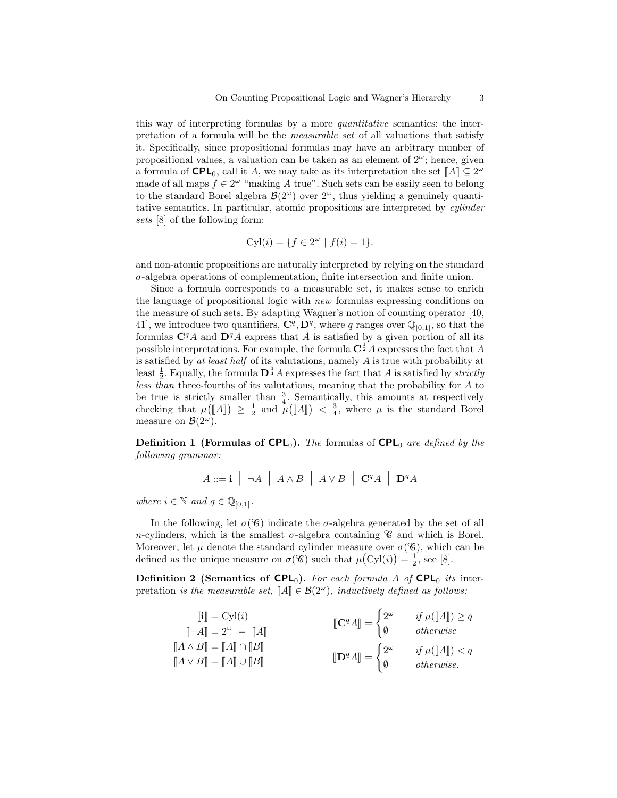this way of interpreting formulas by a more quantitative semantics: the interpretation of a formula will be the measurable set of all valuations that satisfy it. Specifically, since propositional formulas may have an arbitrary number of propositional values, a valuation can be taken as an element of  $2^{\omega}$ ; hence, given a formula of  $\mathsf{CPL}_0$ , call it A, we may take as its interpretation the set  $\llbracket A \rrbracket \subseteq 2^\omega$ <br>mode of all maps  $f \in 2^\omega$  "moking A true". Such sets can be easily seen to belong made of all maps  $f \in 2^{\omega}$  "making A true". Such sets can be easily seen to belong to the standard Borel algebra  $\mathcal{B}(2^{\omega})$  over  $2^{\omega}$ , thus yielding a genuinely quantitative semantics. In particular, atomic propositions are interpreted by cylinder sets [8] of the following form:

$$
Cyl(i) = \{ f \in 2^{\omega} \mid f(i) = 1 \}.
$$

and non-atomic propositions are naturally interpreted by relying on the standard  $\sigma$ -algebra operations of complementation, finite intersection and finite union.

Since a formula corresponds to a measurable set, it makes sense to enrich the language of propositional logic with new formulas expressing conditions on the measure of such sets. By adapting Wagner's notion of counting operator [40, 41, we introduce two quantifiers,  $\mathbf{C}^q$ ,  $\mathbf{D}^q$ , where q ranges over  $\mathbb{Q}_{[0,1]}$ , so that the formulas  $C<sup>q</sup>A$  and  $D<sup>q</sup>A$  express that A is satisfied by a given portion of all its possible interpretations. For example, the formula  $C^{\frac{1}{2}}A$  expresses the fact that A is satisfied by at least half of its valutations, namely A is true with probability at least  $\frac{1}{2}$ . Equally, the formula  $\mathbf{D}^{\frac{3}{4}}A$  expresses the fact that A is satisfied by *strictly* less than three-fourths of its valutations, meaning that the probability for A to be true is strictly smaller than  $\frac{3}{4}$ . Semantically, this amounts at respectively checking that  $\mu([\![A]\!]) \geq \frac{1}{2}$  and  $\mu([\![A]\!]) < \frac{3}{4}$ , where  $\mu$  is the standard Borel measure on  $\mathcal{B}(2^{\omega})$ .

**Definition 1 (Formulas of CPL<sub>0</sub>).** The formulas of  $\mathsf{CPL}_0$  are defined by the following grammar:

$$
A ::= \mathbf{i} \mid \neg A \mid A \land B \mid A \lor B \mid \mathbf{C}^q A \mid \mathbf{D}^q A
$$

where  $i \in \mathbb{N}$  and  $q \in \mathbb{Q}_{[0,1]}$ .

In the following, let  $\sigma(\mathscr{C})$  indicate the  $\sigma$ -algebra generated by the set of all n-cylinders, which is the smallest  $\sigma$ -algebra containing  $\mathscr C$  and which is Borel. Moreover, let  $\mu$  denote the standard cylinder measure over  $\sigma(\mathscr{C})$ , which can be defined as the unique measure on  $\sigma(\mathscr{C})$  such that  $\mu(\mathrm{Cyl}(i)) = \frac{1}{2}$ , see [8].

**Definition 2 (Semantics of CPL<sub>0</sub>).** For each formula A of  $\text{CPL}_0$  its interpretation is the measurable set,  $\llbracket A \rrbracket \in \mathcal{B}(2^{\omega})$ , inductively defined as follows:

$$
\begin{aligned}\n[\mathbf{i}] &= \text{Cyl}(i) & \text{[C}^q A \mathbb{]} = \begin{cases}\n2^{\omega} & \text{if } \mu([\![A]\!]) \ge q \\
\emptyset & \text{otherwise}\n\end{cases} \\
[\![A \wedge B] &= [\![A]\!] \cap [\![B]\!] & \text{[D}^q A \mathbb{]} = \begin{cases}\n2^{\omega} & \text{if } \mu([\![A]\!]) < q \\
\emptyset & \text{otherwise}\n\end{cases} \\
[\![A \vee B] &= [\![A]\!] \cup [\![B]\!] & \text{[D}^q A \mathbb{]} = \begin{cases}\n2^{\omega} & \text{if } \mu([\![A]\!]) < q \\
\emptyset & \text{otherwise}\n\end{cases}\n\end{aligned}
$$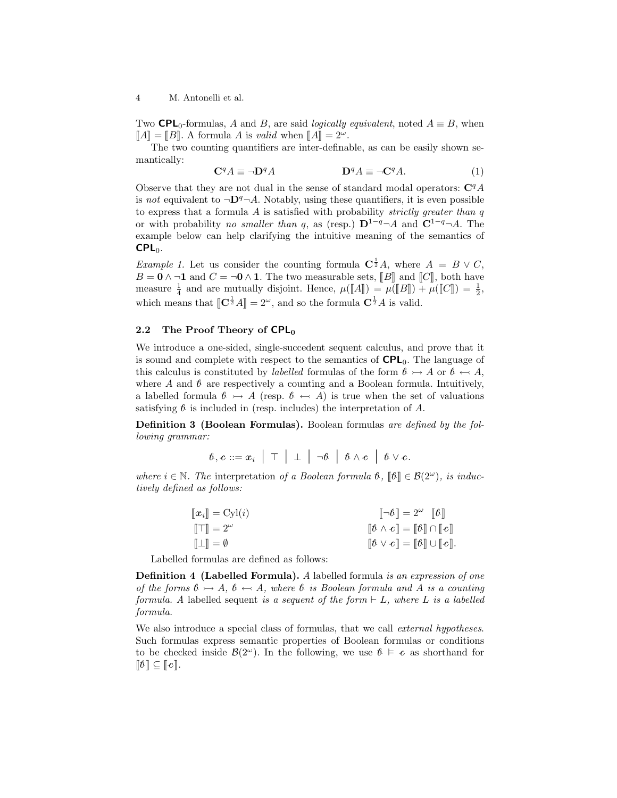Two **CPL**<sub>0</sub>-formulas, A and B, are said *logically equivalent*, noted  $A \equiv B$ , when  $\llbracket A \rrbracket = \llbracket B \rrbracket$ . A formula A is valid when  $\llbracket A \rrbracket = 2^{\omega}$ .

The two counting quantifiers are inter-definable, as can be easily shown semantically:

$$
\mathbf{C}^q A \equiv \neg \mathbf{D}^q A \qquad \qquad \mathbf{D}^q A \equiv \neg \mathbf{C}^q A. \tag{1}
$$

Observe that they are not dual in the sense of standard modal operators:  $\mathbf{C}^q A$ is not equivalent to  $\neg \mathbf{D}^q \neg A$ . Notably, using these quantifiers, it is even possible to express that a formula  $A$  is satisfied with probability *strictly greater than q* or with probability no smaller than q, as (resp.)  $\mathbf{D}^{1-q} \neg A$  and  $\mathbf{C}^{1-q} \neg A$ . The example below can help clarifying the intuitive meaning of the semantics of  $CPL<sub>0</sub>$ .

*Example 1.* Let us consider the counting formula  $C^{\frac{1}{2}}A$ , where  $A = B \vee C$ ,  $B = 0 \land \neg 1$  and  $C = \neg 0 \land 1$ . The two measurable sets, [B] and [C], both have measure  $\frac{1}{4}$  and are mutually disjoint. Hence,  $\mu([\![A]\!]) = \mu([\![B]\!]) + \mu([\![C]\!]) = \frac{1}{2}$ , which means that  $[\mathbf{C}^{\frac{1}{2}}A] = 2^{\omega}$ , and so the formula  $\mathbf{C}^{\frac{1}{2}}A$  is valid.

#### 2.2 The Proof Theory of  $\mathsf{CPL}_0$

We introduce a one-sided, single-succedent sequent calculus, and prove that it is sound and complete with respect to the semantics of  $\mathsf{CPL}_0$ . The language of this calculus is constituted by *labelled* formulas of the form  $\ell \rightarrow A$  or  $\ell \rightarrow A$ , where A and  $\beta$  are respectively a counting and a Boolean formula. Intuitively, a labelled formula  $\mathcal{B} \to A$  (resp.  $\mathcal{B} \leftarrow A$ ) is true when the set of valuations satisfying  $\ell$  is included in (resp. includes) the interpretation of A.

Definition 3 (Boolean Formulas). Boolean formulas are defined by the following grammar:

 $\beta, c ::= x_i \mid \top \mid \bot \mid \neg \beta \mid \beta \wedge c \mid \beta \vee c.$ 

where  $i \in \mathbb{N}$ . The interpretation of a Boolean formula  $\mathcal{b}$ ,  $\lbrack \lbrack \mathcal{b} \rbrack \rbrack \in \mathcal{B}(2^{\omega})$ , is inductively defined as follows:

| $\llbracket x_i \rrbracket = \text{Cyl}(i)$ | $\llbracket \neg \theta \rrbracket = 2^\omega \quad \llbracket \theta \rrbracket$                   |
|---------------------------------------------|-----------------------------------------------------------------------------------------------------|
| $\ \top\ =2^{\omega}$                       | $\llbracket \theta \wedge c \rrbracket = \llbracket \theta \rrbracket \cap \llbracket c \rrbracket$ |
| $\llbracket \perp \rrbracket = \emptyset$   | $[\![\theta \vee c]\!] = [\![\theta]\!] \cup [\![c]\!].$                                            |
|                                             |                                                                                                     |

Labelled formulas are defined as follows:

Definition 4 (Labelled Formula). A labelled formula is an expression of one of the forms  $b \rightarrow A$ ,  $b \leftarrow A$ , where b is Boolean formula and A is a counting formula. A labelled sequent is a sequent of the form  $\vdash L$ , where L is a labelled formula.

We also introduce a special class of formulas, that we call *external hypotheses*. Such formulas express semantic properties of Boolean formulas or conditions to be checked inside  $\mathcal{B}(2^{\omega})$ . In the following, we use  $\theta \models c$  as shorthand for  $\llbracket \theta \rrbracket \subseteq \llbracket c \rrbracket.$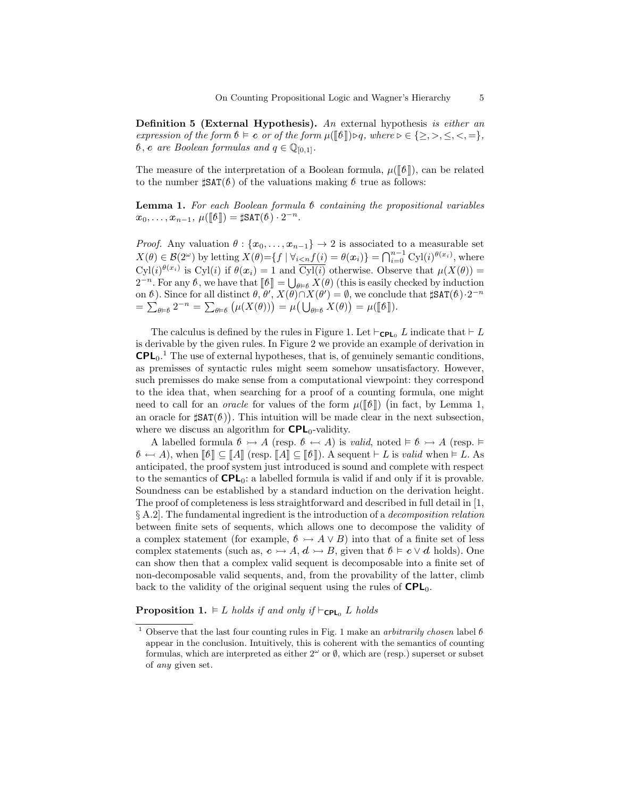**Definition 5 (External Hypothesis).** An external hypothesis is either an expression of the form  $\mathbf{t} \models \mathbf{c}$  or of the form  $\mu([\![\mathbf{t}]\!]) \triangleright q$ , where  $\triangleright \in \{\geq, >, \leq, <, =\},$  $\mathcal{b}, \mathbf{c}$  are Boolean formulas and  $q \in \mathbb{Q}_{[0,1]}$ .

The measure of the interpretation of a Boolean formula,  $\mu([\mathbf{b}])$ , can be related to the number  $\sharp \text{SAT}(\ell)$  of the valuations making  $\ell$  true as follows:

**Lemma 1.** For each Boolean formula  $\mathfrak b$  containing the propositional variables  $x_0, \ldots, x_{n-1}, \mu(\llbracket \theta \rrbracket) = \sharp \text{SAT}(\theta) \cdot 2^{-n}.$ 

*Proof.* Any valuation  $\theta$  :  $\{x_0, \ldots, x_{n-1}\}$   $\rightarrow$  2 is associated to a measurable set  $X(\theta) \in \mathcal{B}(2^{\omega})$  by letting  $X(\theta) = \{f \mid \forall_{i < n} f(i) = \theta(x_i)\} = \bigcap_{i=0}^{n-1} \text{Cyl}(i)^{\theta(x_i)}$ , where  $Cyl(i)^{\theta(x_i)}$  is  $Cyl(i)$  if  $\theta(x_i) = 1$  and  $\overline{Cyl(i)}$  otherwise. Observe that  $\mu(X(\theta)) =$  $2^{-n}$ . For any  $\theta$ , we have that  $[\![\theta]\!] = \bigcup_{\theta \in \theta} X(\theta)$  (this is easily checked by induction<br>on  $\theta$ ). Since for all distinct  $\theta$ ,  $\theta'$ ,  $X(\theta) \cap Y(\theta') = \emptyset$ , we conclude that  $\forall \theta \in \mathcal{F}(\theta)$ ,  $2^{-n}$ on  $\ell$ ). Since for all distinct  $\theta$ ,  $\theta'$ ,  $X(\theta) \cap X(\theta') = \emptyset$ , we conclude that  $\sharp$ SAT $(\ell) \cdot 2^{-n}$ =  $\sum_{\theta \in \theta} 2^{-n} = \sum_{\theta \in \theta} (\mu(X(\theta))) = \mu(\bigcup_{\theta \in \theta} X(\theta)) = \mu([\![\theta]\!]).$ 

The calculus is defined by the rules in Figure 1. Let  $\vdash_{\mathsf{CPL}_0} L$  indicate that  $\vdash L$ is derivable by the given rules. In Figure 2 we provide an example of derivation in  $\mathsf{CPL}_0$ .<sup>1</sup> The use of external hypotheses, that is, of genuinely semantic conditions, as premisses of syntactic rules might seem somehow unsatisfactory. However, such premisses do make sense from a computational viewpoint: they correspond to the idea that, when searching for a proof of a counting formula, one might need to call for an *oracle* for values of the form  $\mu([\mathbf{\ell}])$  (in fact, by Lemma 1,<br>on excels for  $\mathbf{HGL}(\mathbf{\ell})$ ). This intuition will be mode clean in the next wheretian an oracle for  $\sharp$ SAT $(\ell)$ ). This intuition will be made clear in the next subsection, where we discuss an algorithm for  $\text{CPL}_0$ -validity.

A labelled formula  $\mathcal{B} \rightarrowtail A$  (resp.  $\mathcal{B} \leftarrowtail A$ ) is valid, noted  $\models \mathcal{B} \rightarrowtail A$  (resp.  $\models$  $\mathcal{B} \leftarrow A$ , when  $\llbracket \mathcal{B} \rrbracket \subseteq \llbracket A \rrbracket$  (resp.  $\llbracket A \rrbracket \subseteq \llbracket \mathcal{B} \rrbracket$ ). A sequent  $\vdash L$  is valid when  $\models L$ . As anticipated, the proof system just introduced is sound and complete with respect to the semantics of  $\mathsf{CPL}_0$ : a labelled formula is valid if and only if it is provable. Soundness can be established by a standard induction on the derivation height. The proof of completeness is less straightforward and described in full detail in [1,  $\S$  A.2. The fundamental ingredient is the introduction of a *decomposition relation* between finite sets of sequents, which allows one to decompose the validity of a complex statement (for example,  $\mathcal{B} \rightarrow A \vee B$ ) into that of a finite set of less complex statements (such as,  $c \rightarrow A$ ,  $d \rightarrow B$ , given that  $b \models c \vee d$  holds). One can show then that a complex valid sequent is decomposable into a finite set of non-decomposable valid sequents, and, from the provability of the latter, climb back to the validity of the original sequent using the rules of  $\mathsf{CPL}_0$ .

**Proposition 1.**  $\models L$  holds if and only if  $\models$ <sub>CPL0</sub> L holds

<sup>&</sup>lt;sup>1</sup> Observe that the last four counting rules in Fig. 1 make an *arbitrarily chosen* label  $\theta$ appear in the conclusion. Intuitively, this is coherent with the semantics of counting formulas, which are interpreted as either  $2^{\omega}$  or  $\emptyset$ , which are (resp.) superset or subset of any given set.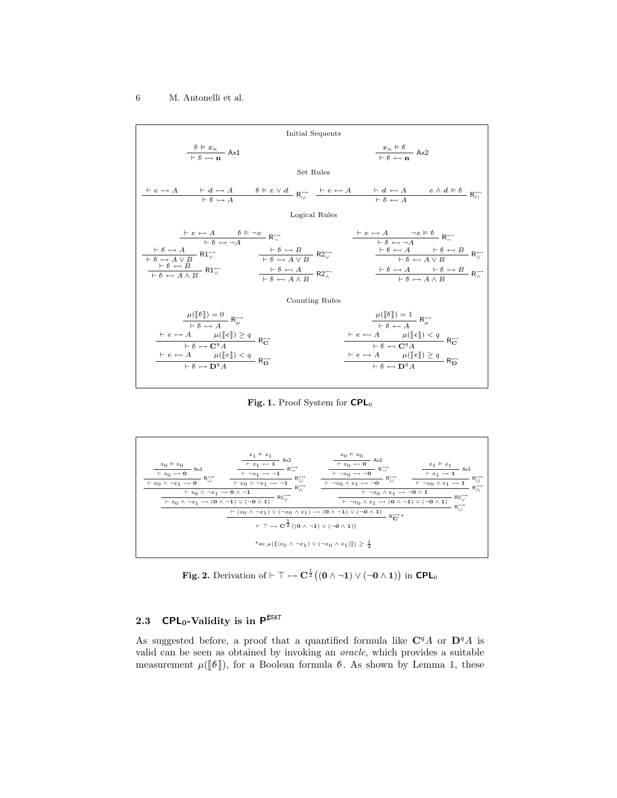

Fig. 1. Proof System for CPL<sub>0</sub>



Fig. 2. Derivation of  $\vdash \top \rightarrowtail \mathbf{C}^{\frac{1}{2}}((\mathbf{0} \wedge \neg \mathbf{1}) \vee (\neg \mathbf{0} \wedge \mathbf{1}))$  in CPL<sub>0</sub>

## 2.3 CPL<sub>0</sub>-Validity is in  $P^{\sharp\text{SAT}}$

As suggested before, a proof that a quantified formula like  $C<sup>q</sup>A$  or  $D<sup>q</sup>A$  is valid can be seen as obtained by invoking an oracle, which provides a suitable measurement  $\mu(\llbracket \theta \rrbracket)$ , for a Boolean formula  $\theta$ . As shown by Lemma 1, these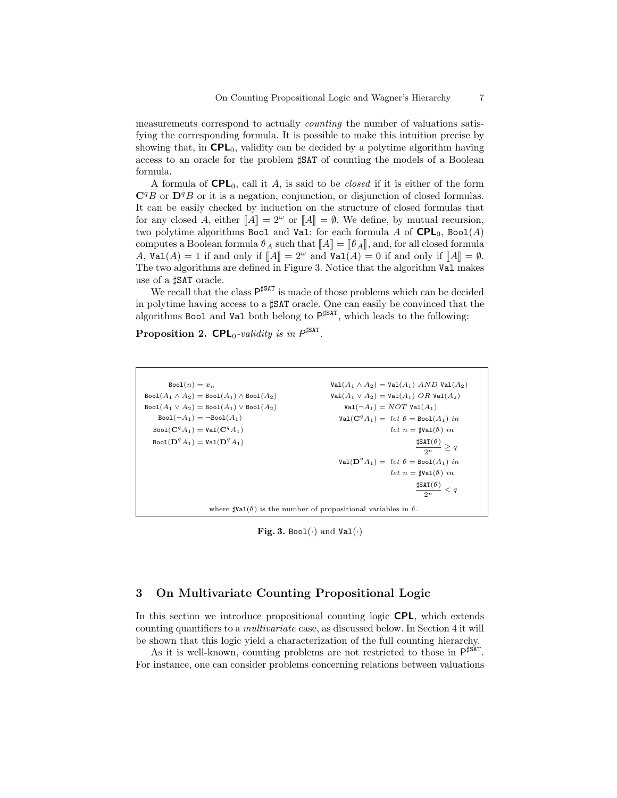measurements correspond to actually counting the number of valuations satisfying the corresponding formula. It is possible to make this intuition precise by showing that, in  $\mathsf{CPL}_0$ , validity can be decided by a polytime algorithm having access to an oracle for the problem  $\sharp$ SAT of counting the models of a Boolean formula.

A formula of  $\mathsf{CPL}_0$ , call it A, is said to be *closed* if it is either of the form  $\mathbf{C}^q B$  or  $\mathbf{D}^q B$  or it is a negation, conjunction, or disjunction of closed formulas. It can be easily checked by induction on the structure of closed formulas that for any closed A, either  $\llbracket A \rrbracket = 2^{\omega}$  or  $\llbracket A \rrbracket = \emptyset$ . We define, by mutual recursion, two polytime algorithms Bool and Val: for each formula A of  $\mathsf{CPL}_0$ , Bool(A) computes a Boolean formula  $\mathcal{B}_A$  such that  $\llbracket A \rrbracket = \llbracket \mathcal{B}_A \rrbracket$ , and, for all closed formula A,  $Val(A) = 1$  if and only if  $\llbracket A \rrbracket = 2^{\omega}$  and  $Val(A) = 0$  if and only if  $\llbracket A \rrbracket = \emptyset$ . The two algorithms are defined in Figure 3. Notice that the algorithm Val makes use of a  $\sharp$ SAT oracle.

We recall that the class  $P^{\sharp\text{SAT}}$  is made of those problems which can be decided in polytime having access to a  $\sharp$ SAT oracle. One can easily be convinced that the algorithms Bool and Val both belong to  $P^{\sharp SAT}$ , which leads to the following:

Proposition 2.  $\mathsf{CPL}_0\text{-}\text{validity}$  is in  $P^{\sharp\mathsf{SAT}}$ .

```
Bool(n) = x_n\text{Bool}(A_1 \wedge A_2) = \text{Bool}(A_1) \wedge \text{Bool}(A_2)\text{Bool}(A_1 \vee A_2) = \text{Bool}(A_1) \vee \text{Bool}(A_2)Bool(\neg A_1) = \neg Bool(A_1)Bool({\bf C}^qA_1)={\tt Val}({\bf C}^qA_1)Bool(\mathbf{D}^q A_1) = \texttt{Val}(\mathbf{D}^q A_1)Val(A_1 \wedge A_2) = Val(A_1) AND Val(A_2)Val(A_1 \vee A_2) = Val(A_1) \text{ } OR \text{ } Val(A_2)Val(\neg A_1) = NOT Val(A_1)\text{Val}(\mathbf{C}^qA_1) = \text{let } \theta = \text{Bool}(A_1) \text{ in }let n = \sharp \text{Val}(\theta) in
                                                                                                                                        \frac{\sharp \texttt{SAT}(\mathbf{\theta})}{2} \geq q\overline{2^n}\texttt{Val}(\mathbf{D}^qA_1) = \text{ let } \mathbf{\theta} = \texttt{Bool}(A_1) \text{ in }let n = \sharp \text{Val}(b) in
                                                                                                                                        \sharpSAT(\ell)\frac{a}{2^n} < qwhere \text{dVal}(\theta) is the number of propositional variables in \theta.
```
Fig. 3. Bool $(\cdot)$  and Val $(\cdot)$ 

## 3 On Multivariate Counting Propositional Logic

In this section we introduce propositional counting logic **CPL**, which extends counting quantifiers to a multivariate case, as discussed below. In Section 4 it will be shown that this logic yield a characterization of the full counting hierarchy.

As it is well-known, counting problems are not restricted to those in  $P^{\sharp\text{SAT}}$ . For instance, one can consider problems concerning relations between valuations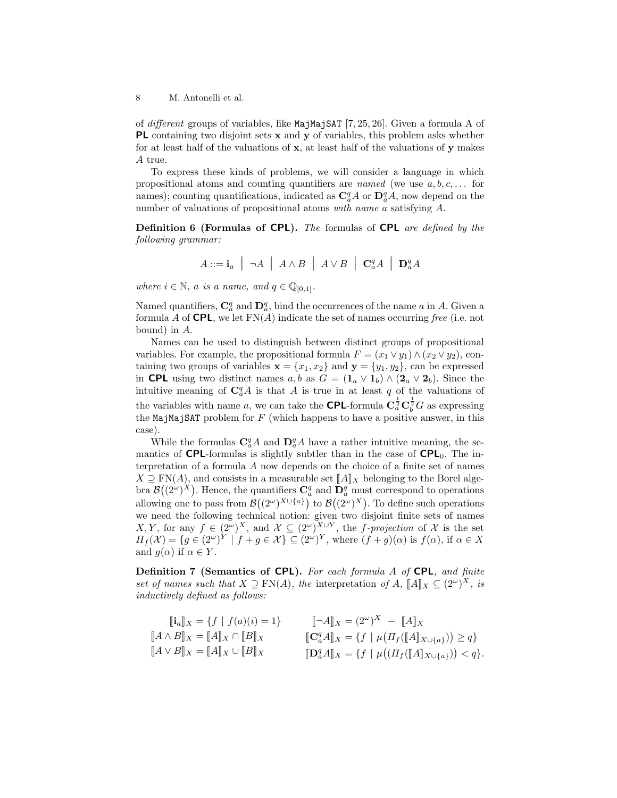of different groups of variables, like MajMajSAT [7, 25, 26]. Given a formula A of PL containing two disjoint sets x and y of variables, this problem asks whether for at least half of the valuations of x, at least half of the valuations of y makes A true.

To express these kinds of problems, we will consider a language in which propositional atoms and counting quantifiers are *named* (we use  $a, b, c, \ldots$  for names); counting quantifications, indicated as  $\mathbf{C}_a^q A$  or  $\mathbf{D}_a^q A$ , now depend on the number of valuations of propositional atoms with name a satisfying A.

Definition 6 (Formulas of CPL). The formulas of CPL are defined by the following grammar:

$$
A ::= \mathbf{i}_a \mid \neg A \mid A \land B \mid A \lor B \mid \mathbf{C}_a^q A \mid \mathbf{D}_a^q A
$$

where  $i \in \mathbb{N}$ , a is a name, and  $q \in \mathbb{Q}_{[0,1]}$ .

Named quantifiers,  $\mathbb{C}_a^q$  and  $\mathbb{D}_a^q$ , bind the occurrences of the name a in A. Given a formula A of **CPL**, we let  $FN(A)$  indicate the set of names occurring free (i.e. not bound) in A.

Names can be used to distinguish between distinct groups of propositional variables. For example, the propositional formula  $F = (x_1 \vee y_1) \wedge (x_2 \vee y_2)$ , containing two groups of variables  $\mathbf{x} = \{x_1, x_2\}$  and  $\mathbf{y} = \{y_1, y_2\}$ , can be expressed in CPL using two distinct names  $a, b$  as  $G = (\mathbf{1}_a \vee \mathbf{1}_b) \wedge (\mathbf{2}_a \vee \mathbf{2}_b)$ . Since the intuitive meaning of  $C_a^qA$  is that A is true in at least q of the valuations of the variables with name a, we can take the **CPL**-formula  $C_a^{\frac{1}{2}} C_b^{\frac{1}{2}} G$  as expressing the MajMajSAT problem for  $F$  (which happens to have a positive answer, in this case).

While the formulas  $\mathbf{C}_a^q A$  and  $\mathbf{D}_a^q A$  have a rather intuitive meaning, the semantics of **CPL**-formulas is slightly subtler than in the case of  $\mathsf{CPL}_0$ . The interpretation of a formula A now depends on the choice of a finite set of names  $X \supseteq \text{FN}(A)$ , and consists in a measurable set  $\llbracket A \rrbracket_X$  belonging to the Borel algebra  $\mathcal{B}((2^{\omega})^X)$ . Hence, the quantifiers  $\mathbf{C}_a^q$  and  $\mathbf{D}_a^q$  must correspond to operations allowing one to pass from  $\mathcal{B}((2^{\omega})^{X\cup\{a\}})$  to  $\mathcal{B}((2^{\omega})^{X})$ . To define such operations we need the following technical notion: given two disjoint finite sets of names X, Y, for any  $f \in (2^{\omega})^X$ , and  $\mathcal{X} \subseteq (2^{\omega})^{X \cup Y}$ , the f-projection of X is the set  $\Pi_f(\mathcal{X}) = \{g \in (2^{\omega})^Y \mid f + g \in \mathcal{X}\} \subseteq (2^{\omega})^Y$ , where  $(f + g)(\alpha)$  is  $f(\alpha)$ , if  $\alpha \in X$ and  $g(\alpha)$  if  $\alpha \in Y$ .

Definition 7 (Semantics of CPL). For each formula A of CPL, and finite set of names such that  $X \supseteq \text{FN}(A)$ , the interpretation of  $A$ ,  $\llbracket A \rrbracket_X \subseteq (2^{\omega})^X$ , is<br>inductively defined as follows: inductively defined as follows:

| $[\![\mathbf{C}_a^q A]\!]_X = \{f \mid \mu(\Pi_f([\![A]\!]_{X \cup \{a\}})) \geq q\}$ |
|---------------------------------------------------------------------------------------|
| $[\![\mathbf{D}_a^q A]\!]_X = \{f \mid \mu((\![A]\!]_X \cup \{a\}) ) < q\}.$          |
|                                                                                       |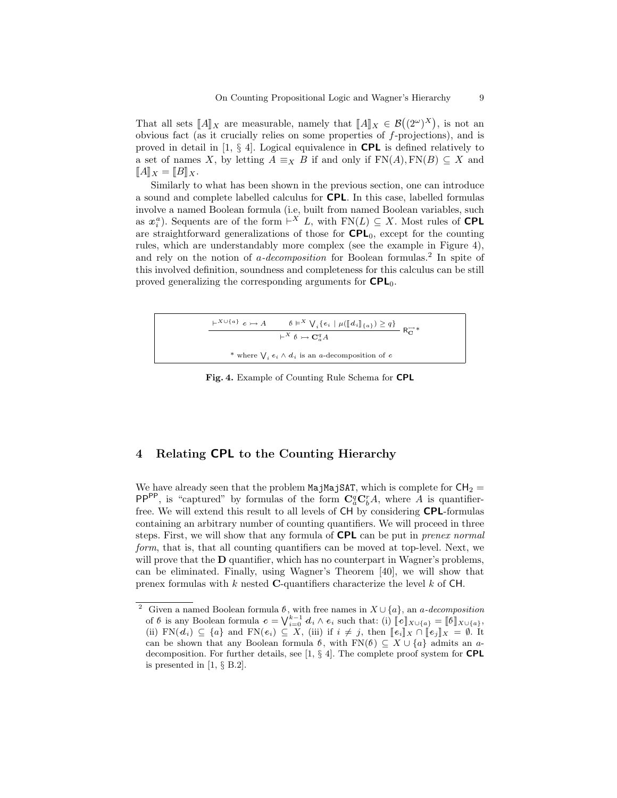That all sets  $\llbracket A \rrbracket_X$  are measurable, namely that  $\llbracket A \rrbracket_X \in \mathcal{B}((2^{\omega})^X)$ , is not an obvious feet (or it erugially relies on some properties of f projections), and is obvious fact (as it crucially relies on some properties of f-projections), and is proved in detail in  $[1, \S 4]$ . Logical equivalence in **CPL** is defined relatively to a set of names X, by letting  $A \equiv_X B$  if and only if  $FN(A), FN(B) \subseteq X$  and  $[[A]]_X = [[B]]_X.$ 

Similarly to what has been shown in the previous section, one can introduce a sound and complete labelled calculus for CPL. In this case, labelled formulas involve a named Boolean formula (i.e, built from named Boolean variables, such as  $x_i^a$ ). Sequents are of the form  $\vdash^X L$ , with  $FN(L) \subseteq X$ . Most rules of **CPL** are straightforward generalizations of those for  $\mathsf{CPL}_0$ , except for the counting rules, which are understandably more complex (see the example in Figure 4), and rely on the notion of  $a$ -decomposition for Boolean formulas.<sup>2</sup> In spite of this involved definition, soundness and completeness for this calculus can be still proved generalizing the corresponding arguments for  $\mathsf{CPL}_0$ .



Fig. 4. Example of Counting Rule Schema for CPL

## 4 Relating CPL to the Counting Hierarchy

We have already seen that the problem MajMajSAT, which is complete for  $CH_2$  = PP<sup>PP</sup>, is "captured" by formulas of the form  $C_a^q C_b^r A$ , where A is quantifierfree. We will extend this result to all levels of CH by considering CPL-formulas containing an arbitrary number of counting quantifiers. We will proceed in three steps. First, we will show that any formula of **CPL** can be put in *prenex normal* form, that is, that all counting quantifiers can be moved at top-level. Next, we will prove that the **D** quantifier, which has no counterpart in Wagner's problems, can be eliminated. Finally, using Wagner's Theorem [40], we will show that prenex formulas with k nested C-quantifiers characterize the level k of  $CH$ .

<sup>&</sup>lt;sup>2</sup> Given a named Boolean formula  $\ell$ , with free names in  $X \cup \{a\}$ , an a-decomposition of  $\theta$  is any Boolean formula  $c = \sqrt{\frac{k-1}{\epsilon_0}} d_i \wedge e_i$  such that: (i)  $\llbracket c \rrbracket_{X \cup \{a\}} = \llbracket \theta \rrbracket_{X \cup \{a\}}$ <br>(ii)  $\mathbb{E}N(d) \subset \llbracket c \rrbracket$  and  $\mathbb{E}N(e) \subset Y$  (iii) if  $i \neq i$  then  $\llbracket e \rrbracket$  of  $e \rrbracket$  and  $\mathbb{E}N(e)$ (ii)  $\text{FN}(d_i) \subseteq \{a\}$  and  $\text{FN}(e_i) \subseteq X$ , (iii) if  $i \neq j$ , then  $[\![e_i]\!]_X \cap [\![e_j]\!]_X = \emptyset$ . It can be shown that any Boolean formula  $\hat{b}$ , with FN( $\hat{b}$ )  $\subseteq X \cup \{a\}$  admits an adecomposition. For further details, see [1, § 4]. The complete proof system for CPL is presented in [1, § B.2].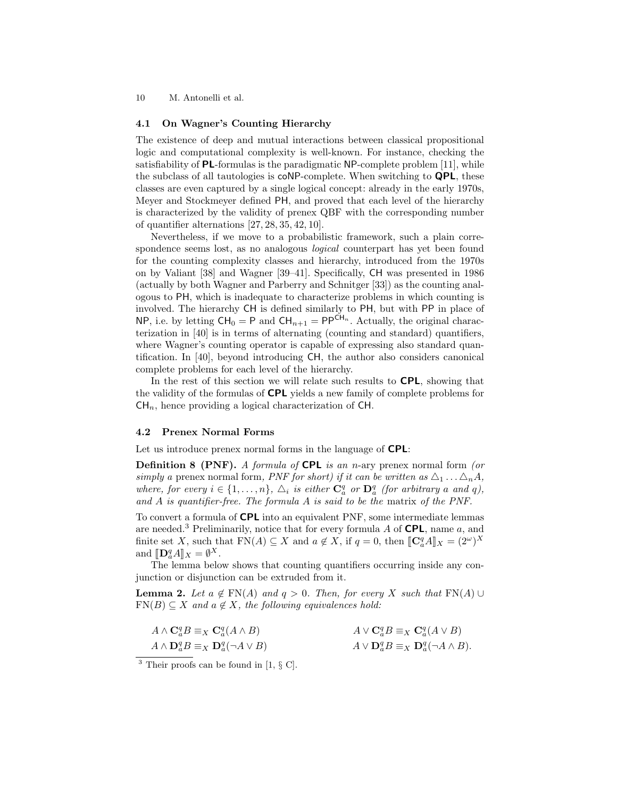#### 4.1 On Wagner's Counting Hierarchy

The existence of deep and mutual interactions between classical propositional logic and computational complexity is well-known. For instance, checking the satisfiability of PL-formulas is the paradigmatic NP-complete problem [11], while the subclass of all tautologies is coNP-complete. When switching to QPL, these classes are even captured by a single logical concept: already in the early 1970s, Meyer and Stockmeyer defined PH, and proved that each level of the hierarchy is characterized by the validity of prenex QBF with the corresponding number of quantifier alternations [27, 28, 35, 42, 10].

Nevertheless, if we move to a probabilistic framework, such a plain correspondence seems lost, as no analogous *logical* counterpart has yet been found for the counting complexity classes and hierarchy, introduced from the 1970s on by Valiant [38] and Wagner [39–41]. Specifically, CH was presented in 1986 (actually by both Wagner and Parberry and Schnitger [33]) as the counting analogous to PH, which is inadequate to characterize problems in which counting is involved. The hierarchy CH is defined similarly to PH, but with PP in place of NP, i.e. by letting  $CH_0 = P$  and  $CH_{n+1} = PP^{CH_n}$ . Actually, the original characterization in [40] is in terms of alternating (counting and standard) quantifiers, where Wagner's counting operator is capable of expressing also standard quantification. In [40], beyond introducing CH, the author also considers canonical complete problems for each level of the hierarchy.

In the rest of this section we will relate such results to **CPL**, showing that the validity of the formulas of CPL yields a new family of complete problems for  $CH_n$ , hence providing a logical characterization of CH.

#### 4.2 Prenex Normal Forms

Let us introduce prenex normal forms in the language of **CPL**:

**Definition 8 (PNF).** A formula of **CPL** is an n-ary prenex normal form (or simply a prenex normal form, PNF for short) if it can be written as  $\Delta_1 \dots \Delta_n A$ , where, for every  $i \in \{1, ..., n\}$ ,  $\Delta_i$  is either  $\mathbf{C}_a^q$  or  $\mathbf{D}_a^q$  (for arbitrary a and q), and A is quantifier-free. The formula A is said to be the matrix of the PNF.

To convert a formula of CPL into an equivalent PNF, some intermediate lemmas are needed.<sup>3</sup> Preliminarily, notice that for every formula A of **CPL**, name a, and finite set X, such that  $FN(A) \subseteq X$  and  $a \notin X$ , if  $q = 0$ , then  $[\![\mathbf{C}_a^q A]\!]_X = (2^{\omega})^X$ and  $[\![\mathbf{D}_a^q A]\!]_X = \emptyset^X.$ <br>The lemma hole

The lemma below shows that counting quantifiers occurring inside any conjunction or disjunction can be extruded from it.

**Lemma 2.** Let  $a \notin FN(A)$  and  $q > 0$ . Then, for every X such that  $FN(A) \cup$  $FN(B) \subseteq X$  and  $a \notin X$ , the following equivalences hold:

| $A \wedge \mathbf{C}_{a}^{q} B \equiv_{X} \mathbf{C}_{a}^{q}(A \wedge B)$ | $A \vee \mathbf{C}_{a}^{q} B \equiv_{X} \mathbf{C}_{a}^{q} (A \vee B)$ |
|---------------------------------------------------------------------------|------------------------------------------------------------------------|
| $A \wedge \mathbf{D}_a^q B \equiv_X \mathbf{D}_a^q (\neg A \vee B)$       | $A \vee D_a^q B \equiv_X D_a^q (\neg A \wedge B).$                     |

 $3$  Their proofs can be found in [1,  $\S$  C].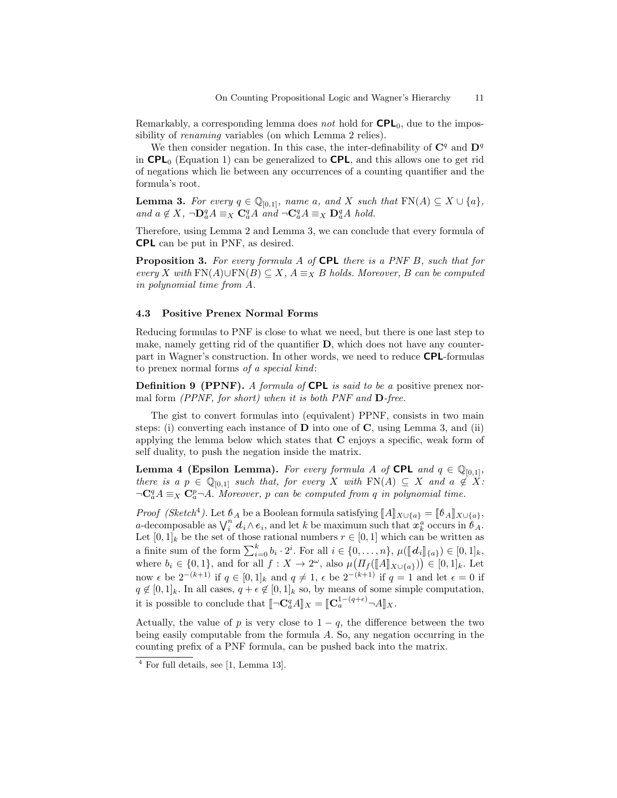Remarkably, a corresponding lemma does not hold for  $\mathsf{CPL}_0$ , due to the impossibility of *renaming* variables (on which Lemma 2 relies).

We then consider negation. In this case, the inter-definability of  $\mathbb{C}^q$  and  $\mathbb{D}^q$ in  $\text{CPL}_0$  (Equation 1) can be generalized to  $\text{CPL}$ , and this allows one to get rid of negations which lie between any occurrences of a counting quantifier and the formula's root.

**Lemma 3.** For every  $q \in \mathbb{Q}_{[0,1]}$ , name a, and X such that  $FN(A) \subseteq X \cup \{a\}$ , and  $a \notin X$ ,  $\neg \mathbf{D}_a^q A \equiv_X \mathbf{C}_a^q A$  and  $\neg \mathbf{C}_a^q A \equiv_X \mathbf{D}_a^q A$  hold.

Therefore, using Lemma 2 and Lemma 3, we can conclude that every formula of CPL can be put in PNF, as desired.

Proposition 3. For every formula A of CPL there is a PNF B, such that for every X with FN(A)∪FN(B)  $\subseteq$  X,  $A \equiv_X B$  holds. Moreover, B can be computed in polynomial time from A.

#### 4.3 Positive Prenex Normal Forms

Reducing formulas to PNF is close to what we need, but there is one last step to make, namely getting rid of the quantifier D, which does not have any counterpart in Wagner's construction. In other words, we need to reduce CPL-formulas to prenex normal forms of a special kind:

**Definition 9 (PPNF).** A formula of **CPL** is said to be a positive prenex normal form  $(PPNF, for short)$  when it is both PNF and  $D$ -free.

The gist to convert formulas into (equivalent) PPNF, consists in two main steps: (i) converting each instance of  **into one of**  $**C**$ **, using Lemma 3, and (ii)** applying the lemma below which states that C enjoys a specific, weak form of self duality, to push the negation inside the matrix.

**Lemma 4 (Epsilon Lemma).** For every formula A of **CPL** and  $q \in \mathbb{Q}_{[0,1]}$ , there is a  $p \in \mathbb{Q}_{[0,1]}$  such that, for every X with  $FN(A) \subseteq X$  and  $a \notin X$ :  $\neg \mathbf{C}_a^q A \equiv_X \mathbf{C}_a^p \neg A$ . Moreover, p can be computed from q in polynomial time.

*Proof (Sketch<sup>4</sup>)*. Let  $\mathcal{B}_A$  be a Boolean formula satisfying  $[\![A]\!]_{X \cup \{a\}} = [\![\mathcal{B}_A]\!]_{X \cup \{a\}}$ ,  $a$ -decomposable as  $\bigvee_i^n d_i \wedge e_i$ , and let  $k$  be maximum such that  $x_k^a$  occurs in  $\mathcal{B}_A$ . Let  $[0,1]_k$  be the set of those rational numbers  $r \in [0,1]$  which can be written as a finite sum of the form  $\sum_{i=0}^{k} b_i \cdot 2^i$ . For all  $i \in \{0, \ldots, n\}$ ,  $\mu(\llbracket d_i \rrbracket_{\{a\}}) \in [0, 1]_k$ ,<br>where  $b_i \in \{0, 1\}$ , and for all  $f : X \to 2^{\omega}$ , also  $\mu(\Pi_f(\llbracket A \rrbracket_{X \cup \{a\}})) \in [0, 1]_k$ . Let now  $\epsilon$  be  $2^{-(k+1)}$  if  $q \in [0,1]_k$  and  $q \neq 1$ ,  $\epsilon$  be  $2^{-(k+1)}$  if  $q = 1$  and let  $\epsilon = 0$  if  $q \notin [0,1]_k$ . In all cases,  $q + \epsilon \notin [0,1]_k$  so, by means of some simple computation, it is possible to conclude that  $[\![\neg \mathbf{C}_a^q A]\!]_X = [\![\mathbf{C}_a^{1-(q+\epsilon)} \neg A]\!]_X.$ 

Actually, the value of p is very close to  $1 - q$ , the difference between the two being easily computable from the formula A. So, any negation occurring in the counting prefix of a PNF formula, can be pushed back into the matrix.

<sup>4</sup> For full details, see [1, Lemma 13].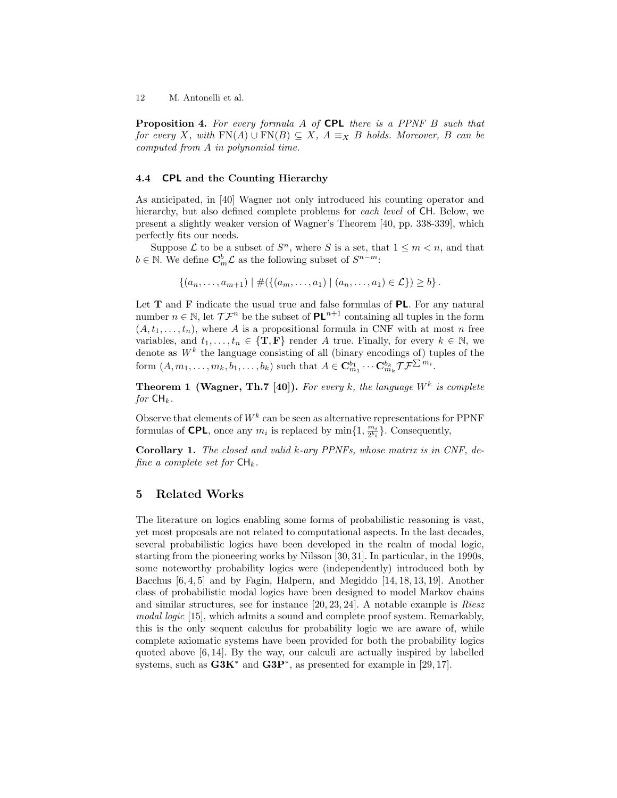**Proposition 4.** For every formula A of CPL there is a PPNF B such that for every X, with  $FN(A) \cup FN(B) \subseteq X$ ,  $A \equiv_X B$  holds. Moreover, B can be computed from A in polynomial time.

#### 4.4 CPL and the Counting Hierarchy

As anticipated, in [40] Wagner not only introduced his counting operator and hierarchy, but also defined complete problems for each level of CH. Below, we present a slightly weaker version of Wagner's Theorem [40, pp. 338-339], which perfectly fits our needs.

Suppose  $\mathcal L$  to be a subset of  $S^n$ , where S is a set, that  $1 \leq m < n$ , and that  $b \in \mathbb{N}$ . We define  $\mathbf{C}_m^b \mathcal{L}$  as the following subset of  $S^{n-m}$ :

$$
\{(a_n,\ldots,a_{m+1}) \mid \#(\{(a_m,\ldots,a_1) \mid (a_n,\ldots,a_1) \in \mathcal{L}\}) \geq b\}.
$$

Let  $T$  and  $F$  indicate the usual true and false formulas of  $PL$ . For any natural number  $n \in \mathbb{N}$ , let  $\mathcal{T} \mathcal{T}^n$  be the subset of  $PL^{n+1}$  containing all tuples in the form  $(A, t_1, \ldots, t_n)$ , where A is a propositional formula in CNF with at most n free variables, and  $t_1, \ldots, t_n \in \{T, F\}$  render A true. Finally, for every  $k \in \mathbb{N}$ , we denote as  $W^k$  the language consisting of all (binary encodings of) tuples of the form  $(A, m_1, \ldots, m_k, b_1, \ldots, b_k)$  such that  $A \in \mathbf{C}_{m_1}^{b_1} \cdots \mathbf{C}_{m_k}^{b_k} \mathcal{T} \mathcal{F}^{\sum m_i}$ .

**Theorem 1 (Wagner, Th.7 [40]).** For every k, the language  $W^k$  is complete for  $\mathsf{CH}_k$ .

Observe that elements of  $W^k$  can be seen as alternative representations for PPNF formulas of **CPL**, once any  $m_i$  is replaced by  $\min\{1, \frac{m_i}{2^{b_i}}\}$ . Consequently,

Corollary 1. The closed and valid k-ary PPNFs, whose matrix is in CNF, define a complete set for  $\mathsf{CH}_k$ .

#### 5 Related Works

The literature on logics enabling some forms of probabilistic reasoning is vast, yet most proposals are not related to computational aspects. In the last decades, several probabilistic logics have been developed in the realm of modal logic, starting from the pioneering works by Nilsson [30, 31]. In particular, in the 1990s, some noteworthy probability logics were (independently) introduced both by Bacchus [6, 4, 5] and by Fagin, Halpern, and Megiddo [14, 18, 13, 19]. Another class of probabilistic modal logics have been designed to model Markov chains and similar structures, see for instance [20, 23, 24]. A notable example is Riesz modal logic [15], which admits a sound and complete proof system. Remarkably, this is the only sequent calculus for probability logic we are aware of, while complete axiomatic systems have been provided for both the probability logics quoted above [6, 14]. By the way, our calculi are actually inspired by labelled systems, such as  $G3K^*$  and  $G3P^*$ , as presented for example in [29, 17].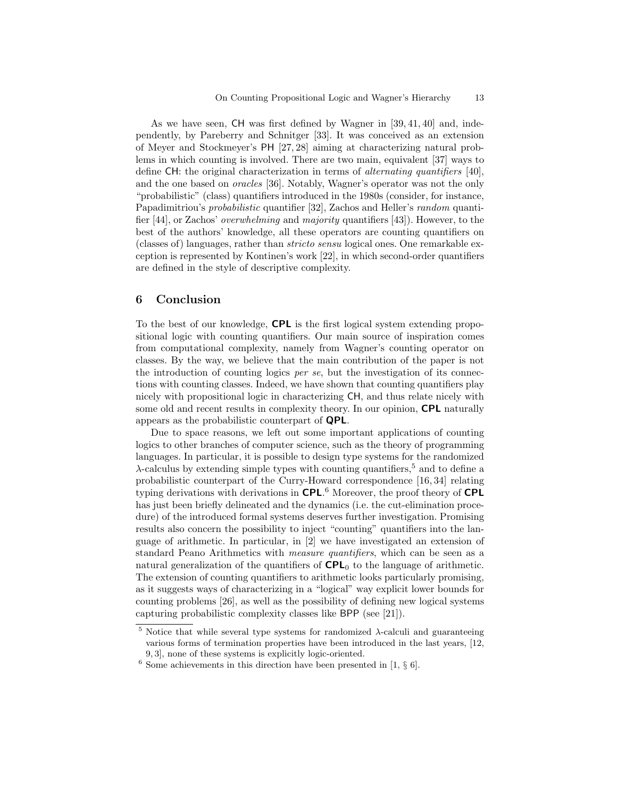As we have seen, CH was first defined by Wagner in [39, 41, 40] and, independently, by Pareberry and Schnitger [33]. It was conceived as an extension of Meyer and Stockmeyer's PH [27, 28] aiming at characterizing natural problems in which counting is involved. There are two main, equivalent [37] ways to define CH: the original characterization in terms of alternating quantifiers [40], and the one based on oracles [36]. Notably, Wagner's operator was not the only "probabilistic" (class) quantifiers introduced in the 1980s (consider, for instance, Papadimitriou's probabilistic quantifier [32], Zachos and Heller's random quantifier [44], or Zachos' overwhelming and majority quantifiers [43]). However, to the best of the authors' knowledge, all these operators are counting quantifiers on (classes of) languages, rather than stricto sensu logical ones. One remarkable exception is represented by Kontinen's work [22], in which second-order quantifiers are defined in the style of descriptive complexity.

### 6 Conclusion

To the best of our knowledge, CPL is the first logical system extending propositional logic with counting quantifiers. Our main source of inspiration comes from computational complexity, namely from Wagner's counting operator on classes. By the way, we believe that the main contribution of the paper is not the introduction of counting logics per se, but the investigation of its connections with counting classes. Indeed, we have shown that counting quantifiers play nicely with propositional logic in characterizing CH, and thus relate nicely with some old and recent results in complexity theory. In our opinion, **CPL** naturally appears as the probabilistic counterpart of QPL.

Due to space reasons, we left out some important applications of counting logics to other branches of computer science, such as the theory of programming languages. In particular, it is possible to design type systems for the randomized  $\lambda$ -calculus by extending simple types with counting quantifiers,<sup>5</sup> and to define a probabilistic counterpart of the Curry-Howard correspondence [16, 34] relating typing derivations with derivations in CPL.<sup>6</sup> Moreover, the proof theory of CPL has just been briefly delineated and the dynamics (i.e. the cut-elimination procedure) of the introduced formal systems deserves further investigation. Promising results also concern the possibility to inject "counting" quantifiers into the language of arithmetic. In particular, in [2] we have investigated an extension of standard Peano Arithmetics with measure quantifiers, which can be seen as a natural generalization of the quantifiers of  $\mathsf{CPL}_0$  to the language of arithmetic. The extension of counting quantifiers to arithmetic looks particularly promising, as it suggests ways of characterizing in a "logical" way explicit lower bounds for counting problems [26], as well as the possibility of defining new logical systems capturing probabilistic complexity classes like BPP (see [21]).

<sup>&</sup>lt;sup>5</sup> Notice that while several type systems for randomized  $\lambda$ -calculi and guaranteeing various forms of termination properties have been introduced in the last years, [12, 9, 3], none of these systems is explicitly logic-oriented.

 $6$  Some achievements in this direction have been presented in [1,  $\S$  6].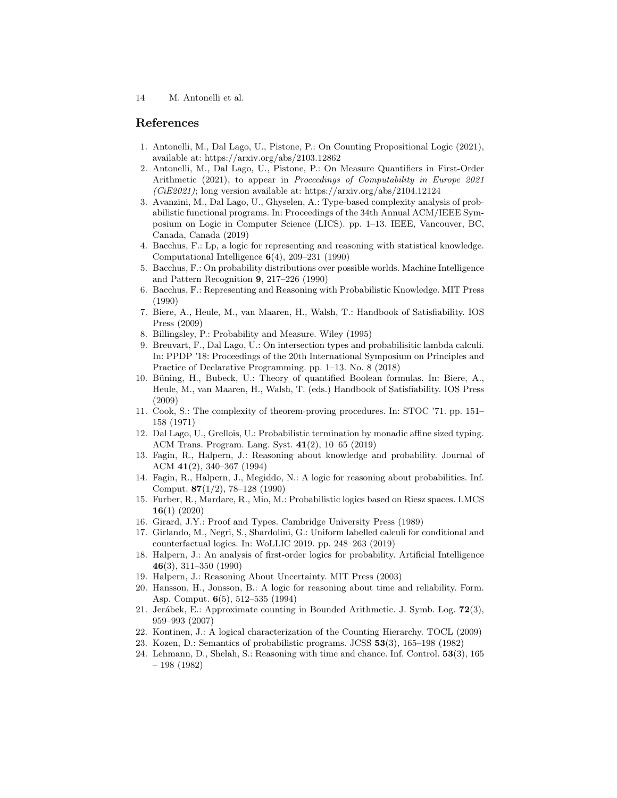## References

- 1. Antonelli, M., Dal Lago, U., Pistone, P.: On Counting Propositional Logic (2021), available at: https://arxiv.org/abs/2103.12862
- 2. Antonelli, M., Dal Lago, U., Pistone, P.: On Measure Quantifiers in First-Order Arithmetic (2021), to appear in Proceedings of Computability in Europe 2021  $(CiE2021)$ ; long version available at: https://arxiv.org/abs/2104.12124
- 3. Avanzini, M., Dal Lago, U., Ghyselen, A.: Type-based complexity analysis of probabilistic functional programs. In: Proceedings of the 34th Annual ACM/IEEE Symposium on Logic in Computer Science (LICS). pp. 1–13. IEEE, Vancouver, BC, Canada, Canada (2019)
- 4. Bacchus, F.: Lp, a logic for representing and reasoning with statistical knowledge. Computational Intelligence 6(4), 209–231 (1990)
- 5. Bacchus, F.: On probability distributions over possible worlds. Machine Intelligence and Pattern Recognition 9, 217–226 (1990)
- 6. Bacchus, F.: Representing and Reasoning with Probabilistic Knowledge. MIT Press (1990)
- 7. Biere, A., Heule, M., van Maaren, H., Walsh, T.: Handbook of Satisfiability. IOS Press (2009)
- 8. Billingsley, P.: Probability and Measure. Wiley (1995)
- 9. Breuvart, F., Dal Lago, U.: On intersection types and probabilisitic lambda calculi. In: PPDP '18: Proceedings of the 20th International Symposium on Principles and Practice of Declarative Programming. pp. 1–13. No. 8 (2018)
- 10. Büning, H., Bubeck, U.: Theory of quantified Boolean formulas. In: Biere, A., Heule, M., van Maaren, H., Walsh, T. (eds.) Handbook of Satisfiability. IOS Press (2009)
- 11. Cook, S.: The complexity of theorem-proving procedures. In: STOC '71. pp. 151– 158 (1971)
- 12. Dal Lago, U., Grellois, U.: Probabilistic termination by monadic affine sized typing. ACM Trans. Program. Lang. Syst. 41(2), 10–65 (2019)
- 13. Fagin, R., Halpern, J.: Reasoning about knowledge and probability. Journal of ACM 41(2), 340–367 (1994)
- 14. Fagin, R., Halpern, J., Megiddo, N.: A logic for reasoning about probabilities. Inf. Comput. 87(1/2), 78–128 (1990)
- 15. Furber, R., Mardare, R., Mio, M.: Probabilistic logics based on Riesz spaces. LMCS 16(1) (2020)
- 16. Girard, J.Y.: Proof and Types. Cambridge University Press (1989)
- 17. Girlando, M., Negri, S., Sbardolini, G.: Uniform labelled calculi for conditional and counterfactual logics. In: WoLLIC 2019. pp. 248–263 (2019)
- 18. Halpern, J.: An analysis of first-order logics for probability. Artificial Intelligence 46(3), 311–350 (1990)
- 19. Halpern, J.: Reasoning About Uncertainty. MIT Press (2003)
- 20. Hansson, H., Jonsson, B.: A logic for reasoning about time and reliability. Form. Asp. Comput. 6(5), 512–535 (1994)
- 21. Jerábek, E.: Approximate counting in Bounded Arithmetic. J. Symb. Log.  $72(3)$ , 959–993 (2007)
- 22. Kontinen, J.: A logical characterization of the Counting Hierarchy. TOCL (2009)
- 23. Kozen, D.: Semantics of probabilistic programs. JCSS 53(3), 165–198 (1982)
- 24. Lehmann, D., Shelah, S.: Reasoning with time and chance. Inf. Control. 53(3), 165 – 198 (1982)